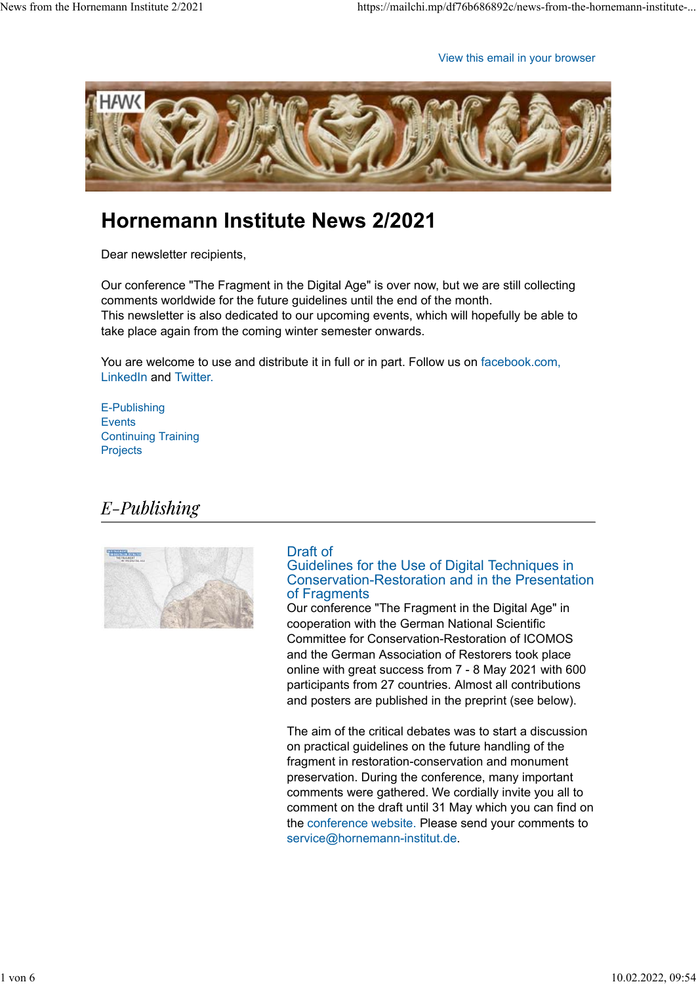View this email in your browser



# **Hornemann Institute News 2/2021**

Dear newsletter recipients,

Our conference "The Fragment in the Digital Age" is over now, but we are still collecting comments worldwide for the future guidelines until the end of the month. This newsletter is also dedicated to our upcoming events, which will hopefully be able to take place again from the coming winter semester onwards.

You are welcome to use and distribute it in full or in part. Follow us on facebook.com, LinkedIn and Twitter.

E-Publishing **Events** Continuing Training **Projects** 

## $E$ -Publishing



#### Draft of Guidelines for the Use of Digital Techniques in Conservation-Restoration and in the Presentation of Fragments

Our conference "The Fragment in the Digital Age" in cooperation with the German National Scientific Committee for Conservation-Restoration of ICOMOS and the German Association of Restorers took place online with great success from 7 - 8 May 2021 with 600 participants from 27 countries. Almost all contributions and posters are published in the preprint (see below).

The aim of the critical debates was to start a discussion on practical guidelines on the future handling of the fragment in restoration-conservation and monument preservation. During the conference, many important comments were gathered. We cordially invite you all to comment on the draft until 31 May which you can find on the conference website. Please send your comments to service@hornemann-institut.de.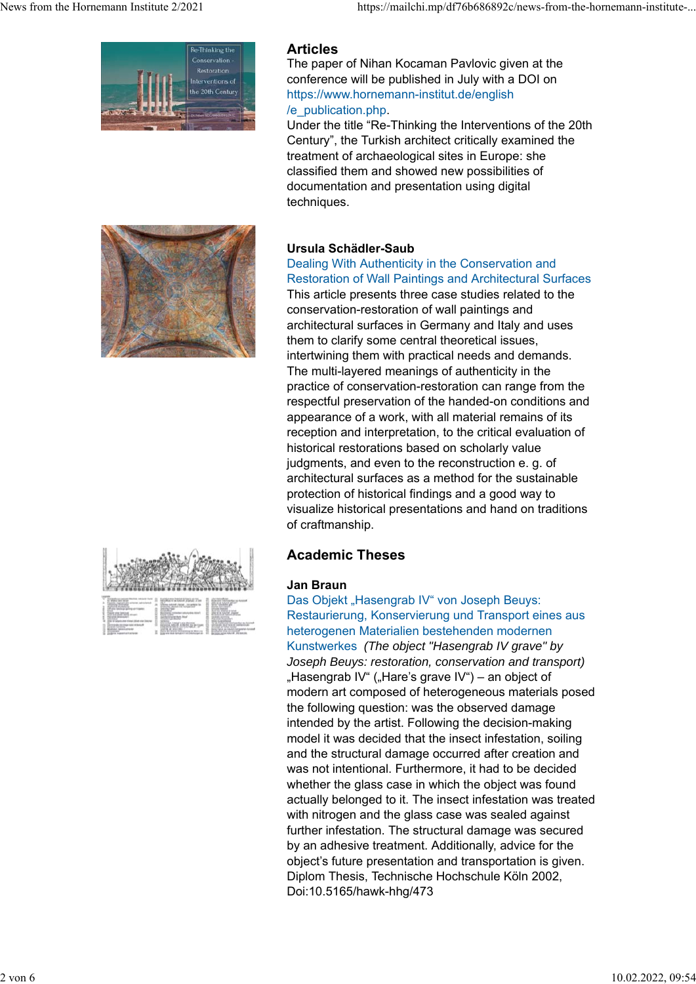

#### **Articles**

The paper of Nihan Kocaman Pavlovic given at the conference will be published in July with a DOI on https://www.hornemann-institut.de/english /e\_publication.php.

Under the title "Re-Thinking the Interventions of the 20th Century", the Turkish architect critically examined the treatment of archaeological sites in Europe: she classified them and showed new possibilities of documentation and presentation using digital techniques.



#### **Ursula Schädler-Saub**

#### Dealing With Authenticity in the Conservation and Restoration of Wall Paintings and Architectural Surfaces

This article presents three case studies related to the conservation-restoration of wall paintings and architectural surfaces in Germany and Italy and uses them to clarify some central theoretical issues, intertwining them with practical needs and demands. The multi-layered meanings of authenticity in the practice of conservation-restoration can range from the respectful preservation of the handed-on conditions and appearance of a work, with all material remains of its reception and interpretation, to the critical evaluation of historical restorations based on scholarly value judgments, and even to the reconstruction e. g. of architectural surfaces as a method for the sustainable protection of historical findings and a good way to visualize historical presentations and hand on traditions of craftmanship.

### **Academic Theses**

**Jan Braun** Das Objekt "Hasengrab IV" von Joseph Beuys: Restaurierung, Konservierung und Transport eines aus heterogenen Materialien bestehenden modernen Kunstwerkes *(The object "Hasengrab IV grave" by Joseph Beuys: restoration, conservation and transport)* "Hasengrab IV" ("Hare's grave IV") – an object of modern art composed of heterogeneous materials posed the following question: was the observed damage intended by the artist. Following the decision-making model it was decided that the insect infestation, soiling and the structural damage occurred after creation and was not intentional. Furthermore, it had to be decided whether the glass case in which the object was found actually belonged to it. The insect infestation was treated with nitrogen and the glass case was sealed against further infestation. The structural damage was secured by an adhesive treatment. Additionally, advice for the object's future presentation and transportation is given. Diplom Thesis, Technische Hochschule Köln 2002, Doi:10.5165/hawk-hhg/473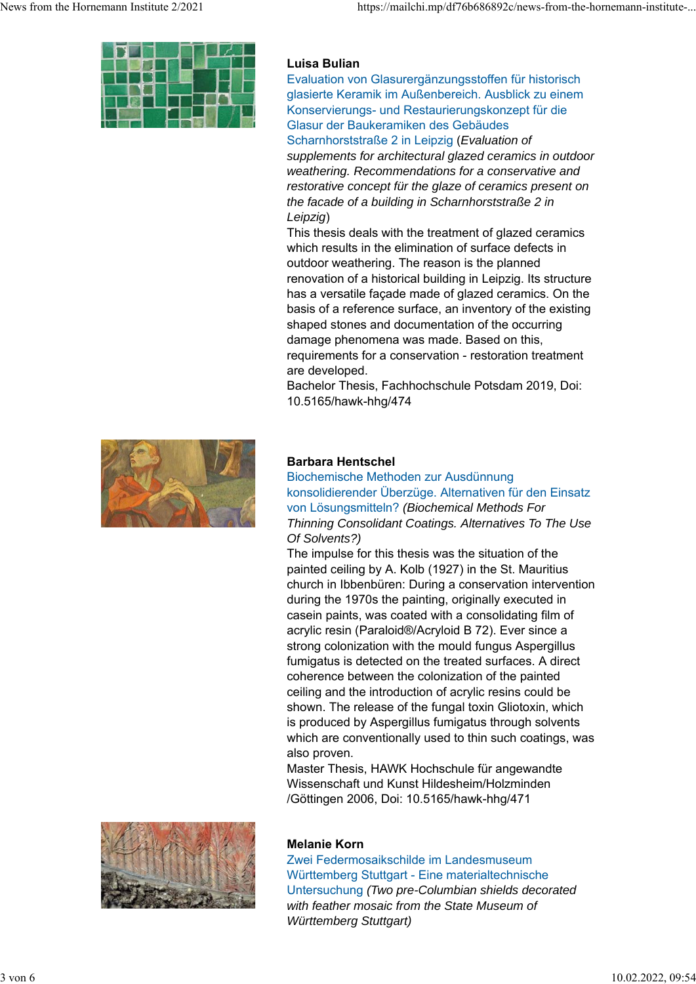

#### **Luisa Bulian**

Evaluation von Glasurergänzungsstoffen für historisch glasierte Keramik im Außenbereich. Ausblick zu einem Konservierungs- und Restaurierungskonzept für die Glasur der Baukeramiken des Gebäudes Scharnhorststraße 2 in Leipzig (*Evaluation of supplements for architectural glazed ceramics in outdoor weathering. Recommendations for a conservative and restorative concept für the glaze of ceramics present on the facade of a building in Scharnhorststraße 2 in Leipzig*)

This thesis deals with the treatment of glazed ceramics which results in the elimination of surface defects in outdoor weathering. The reason is the planned renovation of a historical building in Leipzig. Its structure has a versatile façade made of glazed ceramics. On the basis of a reference surface, an inventory of the existing shaped stones and documentation of the occurring damage phenomena was made. Based on this, requirements for a conservation - restoration treatment are developed.

Bachelor Thesis, Fachhochschule Potsdam 2019, Doi: 10.5165/hawk-hhg/474



#### **Barbara Hentschel**

Biochemische Methoden zur Ausdünnung konsolidierender Überzüge. Alternativen für den Einsatz von Lösungsmitteln? *(Biochemical Methods For Thinning Consolidant Coatings. Alternatives To The Use Of Solvents?)*

The impulse for this thesis was the situation of the painted ceiling by A. Kolb (1927) in the St. Mauritius church in Ibbenbüren: During a conservation intervention during the 1970s the painting, originally executed in casein paints, was coated with a consolidating film of acrylic resin (Paraloid®/Acryloid B 72). Ever since a strong colonization with the mould fungus Aspergillus fumigatus is detected on the treated surfaces. A direct coherence between the colonization of the painted ceiling and the introduction of acrylic resins could be shown. The release of the fungal toxin Gliotoxin, which is produced by Aspergillus fumigatus through solvents which are conventionally used to thin such coatings, was also proven.

Master Thesis, HAWK Hochschule für angewandte Wissenschaft und Kunst Hildesheim/Holzminden /Göttingen 2006, Doi: 10.5165/hawk-hhg/471



#### **Melanie Korn**

Zwei Federmosaikschilde im Landesmuseum Württemberg Stuttgart - Eine materialtechnische Untersuchung *(Two pre-Columbian shields decorated with feather mosaic from the State Museum of Württemberg Stuttgart)*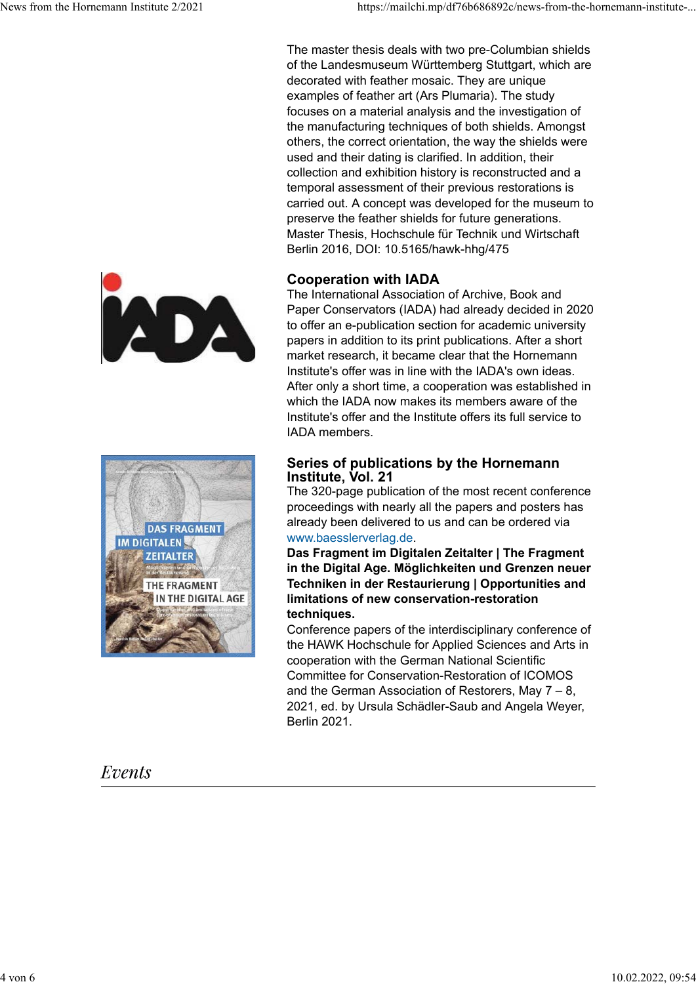The master thesis deals with two pre-Columbian shields of the Landesmuseum Württemberg Stuttgart, which are decorated with feather mosaic. They are unique examples of feather art (Ars Plumaria). The study focuses on a material analysis and the investigation of the manufacturing techniques of both shields. Amongst others, the correct orientation, the way the shields were used and their dating is clarified. In addition, their collection and exhibition history is reconstructed and a temporal assessment of their previous restorations is carried out. A concept was developed for the museum to preserve the feather shields for future generations. Master Thesis, Hochschule für Technik und Wirtschaft Berlin 2016, DOI: 10.5165/hawk-hhg/475

#### **Cooperation with IADA**

The International Association of Archive, Book and Paper Conservators (IADA) had already decided in 2020 to offer an e-publication section for academic university papers in addition to its print publications. After a short market research, it became clear that the Hornemann Institute's offer was in line with the IADA's own ideas. After only a short time, a cooperation was established in which the IADA now makes its members aware of the Institute's offer and the Institute offers its full service to IADA members.

#### **Series of publications by the Hornemann Institute, Vol. 21**

The 320-page publication of the most recent conference proceedings with nearly all the papers and posters has already been delivered to us and can be ordered via www.baesslerverlag.de.

**Das Fragment im Digitalen Zeitalter | The Fragment in the Digital Age. Möglichkeiten und Grenzen neuer Techniken in der Restaurierung | Opportunities and limitations of new conservation-restoration techniques.**

Conference papers of the interdisciplinary conference of the HAWK Hochschule for Applied Sciences and Arts in cooperation with the German National Scientific Committee for Conservation-Restoration of ICOMOS and the German Association of Restorers, May 7 – 8, 2021, ed. by Ursula Schädler-Saub and Angela Weyer, Berlin 2021.





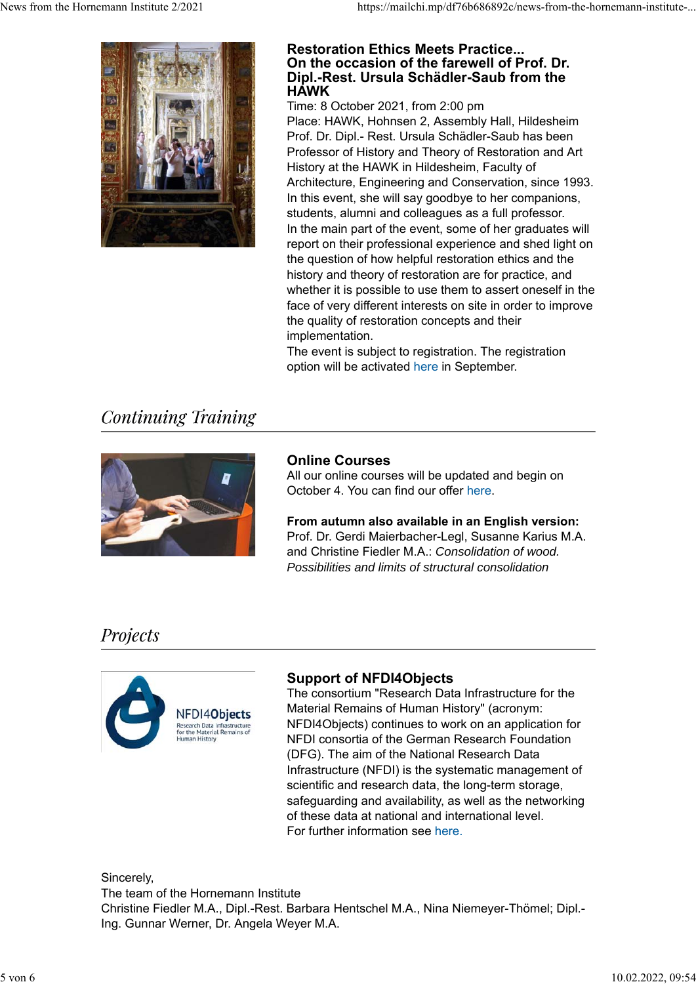

#### **Restoration Ethics Meets Practice... On the occasion of the farewell of Prof. Dr. Dipl.-Rest. Ursula Schädler-Saub from the HAWK**

Time: 8 October 2021, from 2:00 pm Place: HAWK, Hohnsen 2, Assembly Hall, Hildesheim Prof. Dr. Dipl.- Rest. Ursula Schädler-Saub has been Professor of History and Theory of Restoration and Art History at the HAWK in Hildesheim, Faculty of Architecture, Engineering and Conservation, since 1993. In this event, she will say goodbye to her companions, students, alumni and colleagues as a full professor. In the main part of the event, some of her graduates will report on their professional experience and shed light on the question of how helpful restoration ethics and the history and theory of restoration are for practice, and whether it is possible to use them to assert oneself in the face of very different interests on site in order to improve the quality of restoration concepts and their implementation.

The event is subject to registration. The registration option will be activated here in September.

# **Continuing Training**



#### **Online Courses**

All our online courses will be updated and begin on October 4. You can find our offer here.

**From autumn also available in an English version:** Prof. Dr. Gerdi Maierbacher-Legl, Susanne Karius M.A. and Christine Fiedler M.A.: *Consolidation of wood. Possibilities and limits of structural consolidation*

## Projects

![](_page_4_Picture_12.jpeg)

#### **Support of NFDI4Objects**

The consortium "Research Data Infrastructure for the Material Remains of Human History" (acronym: NFDI4Objects) continues to work on an application for NFDI consortia of the German Research Foundation (DFG). The aim of the National Research Data Infrastructure (NFDI) is the systematic management of scientific and research data, the long-term storage, safeguarding and availability, as well as the networking of these data at national and international level. For further information see here.

Sincerely, The team of the Hornemann Institute Christine Fiedler M.A., Dipl.-Rest. Barbara Hentschel M.A., Nina Niemeyer-Thömel; Dipl.- Ing. Gunnar Werner, Dr. Angela Weyer M.A.